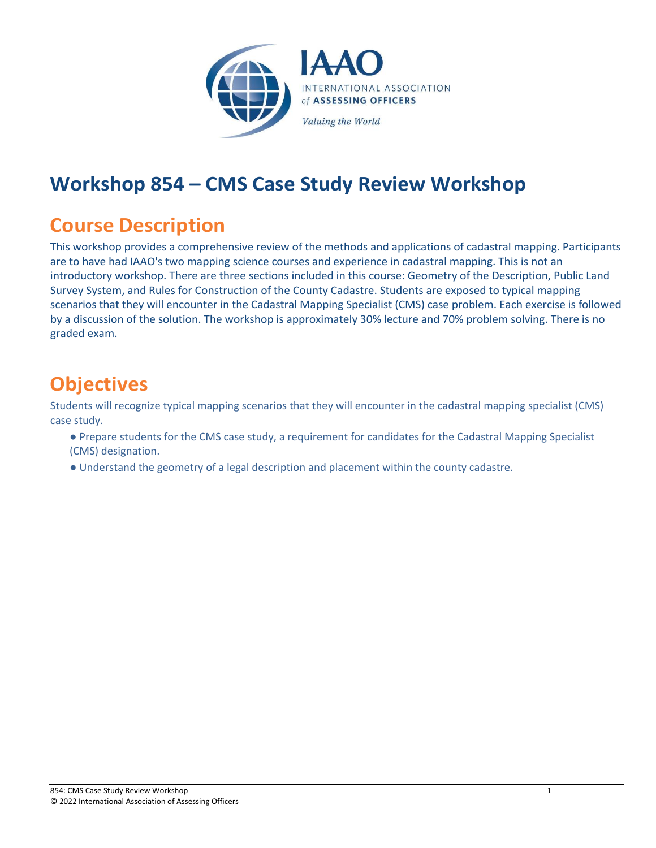

## **Workshop 854 – CMS Case Study Review Workshop**

## **Course Description**

This workshop provides a comprehensive review of the methods and applications of cadastral mapping. Participants are to have had IAAO's two mapping science courses and experience in cadastral mapping. This is not an introductory workshop. There are three sections included in this course: Geometry of the Description, Public Land Survey System, and Rules for Construction of the County Cadastre. Students are exposed to typical mapping scenarios that they will encounter in the Cadastral Mapping Specialist (CMS) case problem. Each exercise is followed by a discussion of the solution. The workshop is approximately 30% lecture and 70% problem solving. There is no graded exam.

## **Objectives**

Students will recognize typical mapping scenarios that they will encounter in the cadastral mapping specialist (CMS) case study.

- Prepare students for the CMS case study, a requirement for candidates for the Cadastral Mapping Specialist (CMS) designation.
- Understand the geometry of a legal description and placement within the county cadastre.